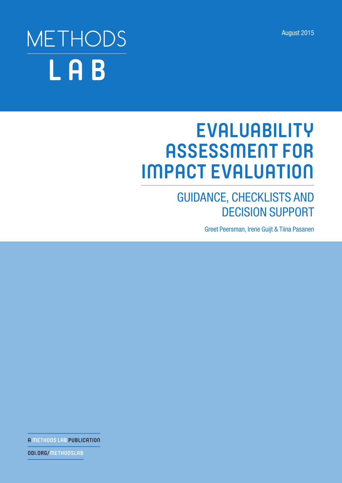August 2015

# $\blacksquare$  a que conservative parameter  $\blacksquare$  and  $\blacksquare$  and  $\blacksquare$  and  $\blacksquare$  and  $\blacksquare$  and  $\blacksquare$  and  $\blacksquare$  and  $\blacksquare$  and  $\blacksquare$  and  $\blacksquare$  and  $\blacksquare$  and  $\blacksquare$  and  $\blacksquare$  and  $\blacksquare$  and  $\blacksquare$  and  $\blacksquare$  and  $\blacksquare$  an eicit, similiar im vende autem sunt quate cori dolestem sunt quate et illustrat fugition de la correction de l sapernam quo quiam rerit pellandia vel endi oditi occae dolorum quibus ressus seque reiusapita vendigenti ut et min con expliciis ditaecu stiisquatem. Bus et ero idebis erum aut facias eum, ut arum eaque est omnis sim aut faccusa pictur?

# $U$ s int $\mathcal{U}$  in the estimate proportion of  $\mathcal{U}$  is in the estimate unit additional uncertainty additional uncertainty additional uncertainty additional uncertainty additional uncertainty additional uncertainty add  $\blacksquare$ quatemquae siti ut lis ut odi ut offictotat etus millam, omniminum discian isinctibus **EVALUABILITY**  magnatur minctat aturessin poritios quaesecae volor aborendit quam, consed **ASSESSMENT FOR**  maioren ecuptat eum faces et re modicipsamet volessi taspeliam vollorecae eum assunto quia que nobis eaquam as cum dit aut earum laut autem nemperes endis  $s = \frac{1}{\sqrt{2\pi}} \left( \frac{1}{\sqrt{2\pi}} \right)$ **IMPACT EVALUATION**

# GUIDANCE, CHECKLISTS AND DECISION SUPPORT

Greet Peersman, Irene Guijt & Tiina Pasanen

**A METHODS LAB PUBLICATION**

**ODI.ORG/METHODSLAB**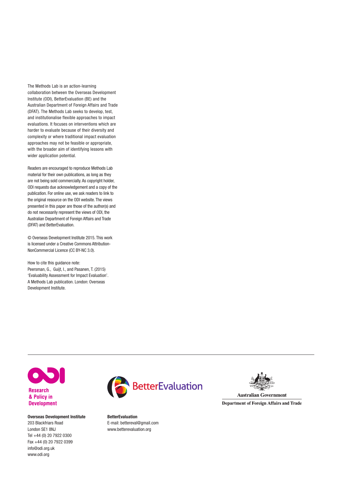The Methods Lab is an action-learning collaboration between the Overseas Development Institute (ODI), BetterEvaluation (BE) and the Australian Department of Foreign Affairs and Trade (DFAT). The Methods Lab seeks to develop, test, and institutionalise flexible approaches to impact evaluations. It focuses on interventions which are harder to evaluate because of their diversity and complexity or where traditional impact evaluation approaches may not be feasible or appropriate, with the broader aim of identifying lessons with wider application potential.

Readers are encouraged to reproduce Methods Lab material for their own publications, as long as they are not being sold commercially. As copyright holder, ODI requests due acknowledgement and a copy of the publication. For online use, we ask readers to link to the original resource on the ODI website. The views presented in this paper are those of the author(s) and do not necessarily represent the views of ODI, the Australian Department of Foreign Affairs and Trade (DFAT) and BetterEvaluation.

© Overseas Development Institute 2015. This work is licensed under a Creative Commons Attribution-NonCommercial Licence (CC BY-NC 3.0).

How to cite this guidance note: Peersman, G., Guijt, I., and Pasanen, T. (2015) 'Evaluability Assessment for Impact Evaluation'. A Methods Lab publication. London: Overseas Development Institute.



**Research** & Policy in **Development** 

Overseas Development Institute 203 Blackfriars Road London SE1 8NJ Tel +44 (0) 20 7922 0300 Fax +44 (0) 20 7922 0399 [info@odi.org.uk](mailto:info@odi.org.uk) <www.odi.org>



BetterEvaluation E-mail: bettereval@gmail.com www.betterevaluation.org



**Australian Government Department of Foreign Affairs and Trade**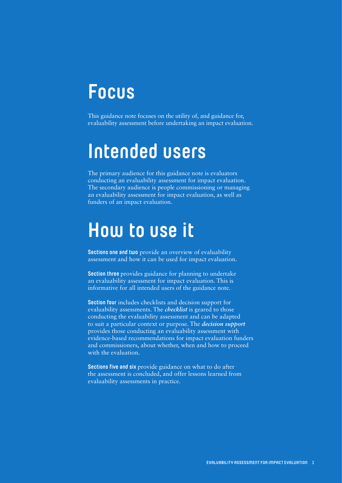# **Focus**

This guidance note focuses on the utility of, and guidance for, evaluability assessment before undertaking an impact evaluation.

# **Intended users**

The primary audience for this guidance note is evaluators conducting an evaluability assessment for impact evaluation. The secondary audience is people commissioning or managing an evaluability assessment for impact evaluation, as well as funders of an impact evaluation.

# **How to use it**

**Sections one and two** provide an overview of evaluability assessment and how it can be used for impact evaluation.

**Section three** provides guidance for planning to undertake an evaluability assessment for impact evaluation. This is informative for all intended users of the guidance note.

**Section four** includes checklists and decision support for evaluability assessments. The *checklist* is geared to those conducting the evaluability assessment and can be adapted to suit a particular context or purpose. The *decision support*  provides those conducting an evaluability assessment with evidence-based recommendations for impact evaluation funders and commissioners, about whether, when and how to proceed with the evaluation.

**Sections five and six** provide guidance on what to do after the assessment is concluded, and offer lessons learned from evaluability assessments in practice.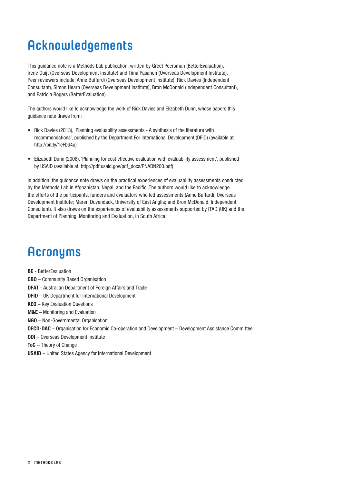# **Acknowledgements**

This guidance note is a Methods Lab publication, written by Greet Peersman (BetterEvaluation), Irene Guijt (Overseas Development Institute) and Tiina Pasanen (Overseas Development Institute). Peer reviewers include: Anne Buffardi (Overseas Development Institute), Rick Davies (Independent Consultant), Simon Hearn (Overseas Development Institute), Bron McDonald (Independent Consultant), and Patricia Rogers (BetterEvaluation).

The authors would like to acknowledge the work of Rick Davies and Elizabeth Dunn, whose papers this guidance note draws from:

- **•** Rick Davies (2013), 'Planning evaluability assessments A synthesis of the literature with recommendations', published by the Department For International Development (DFID) (available at: <http://bit.ly/1eFbd4u>)
- **•** Elizabeth Dunn (2008), 'Planning for cost effective evaluation with evaluability assessment', published by USAID (available at: [http://pdf.usaid.gov/pdf\\_docs/PNADN200.pdf](http://pdf.usaid.gov/pdf_docs/PNADN200.pdf))

In addition, the guidance note draws on the practical experiences of evaluability assessments conducted by the Methods Lab in Afghanistan, Nepal, and the Pacific. The authors would like to acknowledge the efforts of the participants, funders and evaluators who led assessments (Anne Buffardi, Overseas Development Institute; Maren Duvendack, University of East Anglia; and Bron McDonald, Independent Consultant). It also draws on the experiences of evaluability assessments supported by ITAD (UK) and the Department of Planning, Monitoring and Evaluation, in South Africa.

# **Acronyms**

BE - BetterEvaluation

- CBO Community Based Organisation
- DFAT Australian Department of Foreign Affairs and Trade
- DFID UK Department for International Development
- KEQ Key Evaluation Questions
- M&E Monitoring and Evaluation
- NGO Non-Governmental Organisation
- OECD-DAC Organisation for Economic Co-operation and Development Development Assistance Committee
- ODI Overseas Development Institute
- ToC Theory of Change
- USAID United States Agency for International Development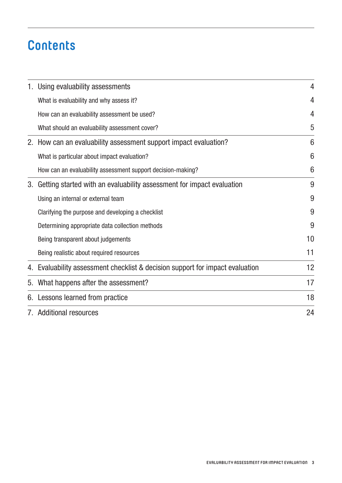# **Contents**

|    | 1. Using evaluability assessments                                             | 4               |  |  |
|----|-------------------------------------------------------------------------------|-----------------|--|--|
|    | What is evaluability and why assess it?                                       | 4               |  |  |
|    | How can an evaluability assessment be used?                                   | 4               |  |  |
|    | What should an evaluability assessment cover?                                 | 5               |  |  |
|    | 2. How can an evaluability assessment support impact evaluation?              | 6               |  |  |
|    | What is particular about impact evaluation?                                   | $6\phantom{1}6$ |  |  |
|    | How can an evaluability assessment support decision-making?                   | 6               |  |  |
| 3. | Getting started with an evaluability assessment for impact evaluation         |                 |  |  |
|    | Using an internal or external team                                            |                 |  |  |
|    | Clarifying the purpose and developing a checklist                             | 9               |  |  |
|    | Determining appropriate data collection methods                               | 9               |  |  |
|    | Being transparent about judgements                                            | 10              |  |  |
|    | Being realistic about required resources                                      | 11              |  |  |
|    | 4. Evaluability assessment checklist & decision support for impact evaluation | 12              |  |  |
| 5. | What happens after the assessment?                                            | 17              |  |  |
|    | 6. Lessons learned from practice                                              | 18              |  |  |
|    | 7. Additional resources                                                       | 24              |  |  |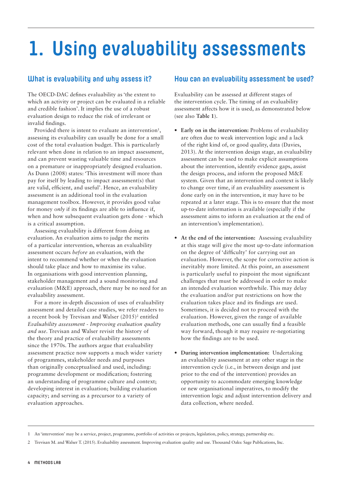# <span id="page-5-0"></span>**1. Using evaluability assessments**

# **What is evaluability and why assess it?**

The OECD-DAC defines evaluability as 'the extent to which an activity or project can be evaluated in a reliable and credible fashion'. It implies the use of a robust evaluation design to reduce the risk of irrelevant or invalid findings.

Provided there is intent to evaluate an intervention<sup>1</sup>, assessing its evaluability can usually be done for a small cost of the total evaluation budget. This is particularly relevant when done in relation to an impact assessment, and can prevent wasting valuable time and resources on a premature or inappropriately designed evaluation. As Dunn (2008) states: 'This investment will more than pay for itself by leading to impact assessment(s) that are valid, efficient, and useful'. Hence, an evaluability assessment is an additional tool in the evaluation management toolbox. However, it provides good value for money *only* if its findings are able to influence if, when and how subsequent evaluation gets done - which is a critical assumption.

Assessing evaluability is different from doing an evaluation. An evaluation aims to judge the merits of a particular intervention, whereas an evaluability assessment occurs *before* an evaluation, with the intent to recommend whether or when the evaluation should take place and how to maximise its value. In organisations with good intervention planning, stakeholder management and a sound monitoring and evaluation (M&E) approach, there may be no need for an evaluability assessment.

For a more in-depth discussion of uses of evaluability assessment and detailed case studies, we refer readers to a recent book by Trevisan and Walser (2015)<sup>2</sup> entitled *Evaluability assessment - Improving evaluation quality and use*. Trevisan and Walser revisit the history of the theory and practice of evaluability assessments since the 1970s. The authors argue that evaluability assessment practice now supports a much wider variety of programmes, stakeholder needs and purposes than originally conceptualised and used, including: programme development or modification; fostering an understanding of programme culture and context; developing interest in evaluation; building evaluation capacity; and serving as a precursor to a variety of evaluation approaches.

### **How can an evaluability assessment be used?**

Evaluability can be assessed at different stages of the intervention cycle. The timing of an evaluability assessment affects how it is used, as demonstrated below (see also **Table 1**).

- **• Early on in the intervention:** Problems of evaluability are often due to weak intervention logic and a lack of the right kind of, or good quality, data (Davies, 2013). At the intervention design stage, an evaluability assessment can be used to make explicit assumptions about the intervention, identify evidence gaps, assist the design process, and inform the proposed M&E system. Given that an intervention and context is likely to change over time, if an evaluability assessment is done early on in the intervention, it may have to be repeated at a later stage. This is to ensure that the most up-to-date information is available (especially if the assessment aims to inform an evaluation at the end of an intervention's implementation).
- At the end of the intervention: Assessing evaluability at this stage will give the most up-to-date information on the degree of 'difficulty' for carrying out an evaluation. However, the scope for corrective action is inevitably more limited. At this point, an assessment is particularly useful to pinpoint the most significant challenges that must be addressed in order to make an intended evaluation worthwhile. This may delay the evaluation and/or put restrictions on how the evaluation takes place and its findings are used. Sometimes, it is decided not to proceed with the evaluation. However, given the range of available evaluation methods, one can usually find a feasible way forward, though it may require re-negotiating how the findings are to be used.
- **• During intervention implementation:** Undertaking an evaluability assessment at any other stage in the intervention cycle (i.e., in between design and just prior to the end of the intervention) provides an opportunity to accommodate emerging knowledge or new organisational imperatives, to modify the intervention logic and adjust intervention delivery and data collection, where needed.

<sup>1</sup> An 'intervention' may be a service, project, programme, portfolio of activities or projects, legislation, policy, strategy, partnership etc.

<sup>2</sup> Trevisan M. and Walser T. (2015). Evaluability assessment. Improving evaluation quality and use. Thousand Oaks: Sage Publications, Inc.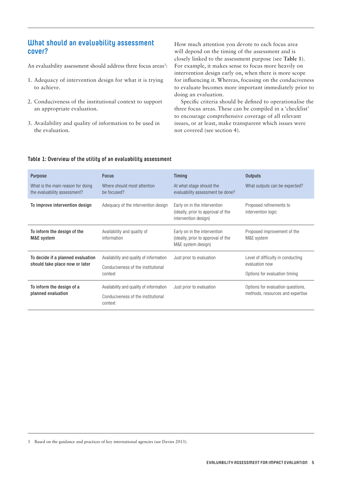### <span id="page-6-0"></span>**What should an evaluability assessment cover?**

An evaluability assessment should address three focus areas<sup>3</sup>:

- 1. Adequacy of intervention design for what it is trying to achieve.
- 2. Conduciveness of the institutional context to support an appropriate evaluation.
- 3. Availability and quality of information to be used in the evaluation.

How much attention you devote to each focus area will depend on the timing of the assessment and is closely linked to the assessment purpose (see **Table 1**). For example, it makes sense to focus more heavily on intervention design early on, when there is more scope for influencing it. Whereas, focusing on the conduciveness to evaluate becomes more important immediately prior to doing an evaluation.

Specific criteria should be defined to operationalise the three focus areas. These can be compiled in a 'checklist' to encourage comprehensive coverage of all relevant issues, or at least, make transparent which issues were not covered (see section 4).

#### **Table 1: Overview of the utility of an evaluability assessment**

| <b>Purpose</b><br>What is the main reason for doing<br>the evaluability assessment? | <b>Focus</b><br>Where should most attention<br>be focused?                               | <b>Timing</b><br>At what stage should the<br>evaluability assessment be done?              | <b>Outputs</b><br>What outputs can be expected?                                      |
|-------------------------------------------------------------------------------------|------------------------------------------------------------------------------------------|--------------------------------------------------------------------------------------------|--------------------------------------------------------------------------------------|
| To improve intervention design                                                      | Adequacy of the intervention design                                                      | Early on in the intervention<br>(ideally, prior to approval of the<br>intervention design) | Proposed refinements to<br>intervention logic                                        |
| To inform the design of the<br>M&E system                                           | Availability and quality of<br>information                                               | Early on in the intervention<br>(ideally, prior to approval of the<br>M&E system design)   | Proposed improvement of the<br>M&E system                                            |
| To decide if a planned evaluation<br>should take place now or later                 | Availability and quality of information<br>Conduciveness of the institutional<br>context | Just prior to evaluation                                                                   | Level of difficulty in conducting<br>evaluation now<br>Options for evaluation timing |
| To inform the design of a<br>planned evaluation                                     | Availability and quality of information<br>Conduciveness of the institutional<br>context | Just prior to evaluation                                                                   | Options for evaluation questions,<br>methods, resources and expertise                |

3 Based on the guidance and practices of key international agencies (see Davies 2013).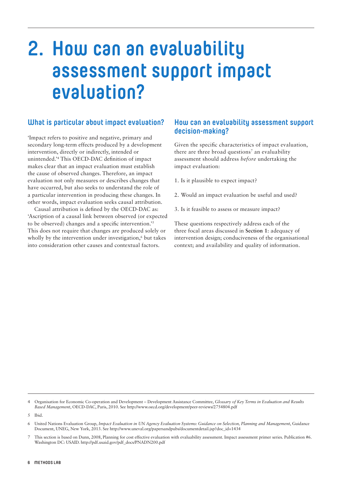# <span id="page-7-0"></span>**2. How can an evaluability assessment support impact evaluation?**

# **What is particular about impact evaluation?**

'Impact refers to positive and negative, primary and secondary long-term effects produced by a development intervention, directly or indirectly, intended or unintended.'4 This OECD-DAC definition of impact makes clear that an impact evaluation must establish the cause of observed changes. Therefore, an impact evaluation not only measures or describes changes that have occurred, but also seeks to understand the role of a particular intervention in producing these changes. In other words, impact evaluation seeks causal attribution.

Causal attribution is defined by the OECD-DAC as: 'Ascription of a causal link between observed (or expected to be observed) changes and a specific intervention.'5 This does not require that changes are produced solely or wholly by the intervention under investigation,<sup>6</sup> but takes into consideration other causes and contextual factors.

### **How can an evaluability assessment support decision-making?**

Given the specific characteristics of impact evaluation, there are three broad questions<sup>7</sup> an evaluability assessment should address *before* undertaking the impact evaluation:

- 1. Is it plausible to expect impact?
- 2. Would an impact evaluation be useful and used?
- 3. Is it feasible to assess or measure impact?

These questions respectively address each of the three focal areas discussed in **Section 1**: adequacy of intervention design; conduciveness of the organisational context; and availability and quality of information.

4 Organisation for Economic Co-operation and Development – Development Assistance Committee, *Glossary of Key Terms in Evaluation and Results Based Management*, OECD-DAC, Paris, 2010. See<http://www.oecd.org/development/peer-reviews/2754804.pdf>

<sup>5</sup> Ibid.

<sup>6</sup> United Nations Evaluation Group, *Impact Evaluation in UN Agency Evaluation Systems: Guidance on Selection, Planning and Management*, Guidance Document, UNEG, New York, 2013. See [http://www.uneval.org/papersandpubs/documentdetail.jsp?doc\\_id=1434](http://www.uneval.org/papersandpubs/documentdetail.jsp?doc_id=1434)

This section is based on Dunn, 2008, Planning for cost effective evaluation with evaluability assessment. Impact assessment primer series. Publication #6. Washington DC: USAID. [http://pdf.usaid.gov/pdf\\_docs/PNADN200.pdf](http://pdf.usaid.gov/pdf_docs/PNADN200.pdf)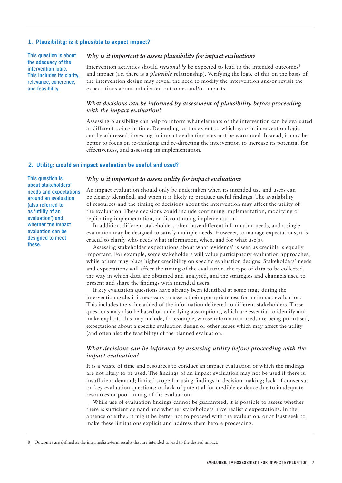#### **1. Plausibility: is it plausible to expect impact?**

This question is about the adequacy of the intervention logic. This includes its clarity, relevance, coherence, and feasibility.

#### *Why is it important to assess plausibility for impact evaluation?*

Intervention activities should *reasonably* be expected to lead to the intended outcomes<sup>8</sup> and impact (i.e. there is a *plausible* relationship). Verifying the logic of this on the basis of the intervention design may reveal the need to modify the intervention and/or revisit the expectations about anticipated outcomes and/or impacts.

#### *What decisions can be informed by assessment of plausibility before proceeding with the impact evaluation?*

Assessing plausibility can help to inform what elements of the intervention can be evaluated at different points in time. Depending on the extent to which gaps in intervention logic can be addressed, investing in impact evaluation may not be warranted. Instead, it may be better to focus on re-thinking and re-directing the intervention to increase its potential for effectiveness, and assessing its implementation.

#### **2. Utility: would an impact evaluation be useful and used?**

This question is about stakeholders' needs and expectations around an evaluation (also referred to as 'utility of an evaluation') and whether the impact evaluation can be designed to meet these.

#### *Why is it important to assess utility for impact evaluation?*

An impact evaluation should only be undertaken when its intended use and users can be clearly identified, and when it is likely to produce useful findings. The availability of resources and the timing of decisions about the intervention may affect the utility of the evaluation. These decisions could include continuing implementation, modifying or replicating implementation, or discontinuing implementation.

In addition, different stakeholders often have different information needs, and a single evaluation may be designed to satisfy multiple needs. However, to manage expectations, it is crucial to clarify who needs what information, when, and for what use(s).

Assessing stakeholder expectations about what 'evidence' is seen as credible is equally important. For example, some stakeholders will value participatory evaluation approaches, while others may place higher credibility on specific evaluation designs. Stakeholders' needs and expectations will affect the timing of the evaluation, the type of data to be collected, the way in which data are obtained and analysed, and the strategies and channels used to present and share the findings with intended users.

If key evaluation questions have already been identified at some stage during the intervention cycle, it is necessary to assess their appropriateness for an impact evaluation. This includes the value added of the information delivered to different stakeholders. These questions may also be based on underlying assumptions, which are essential to identify and make explicit. This may include, for example, whose information needs are being prioritised, expectations about a specific evaluation design or other issues which may affect the utility (and often also the feasibility) of the planned evaluation.

#### *What decisions can be informed by assessing utility before proceeding with the impact evaluation?*

It is a waste of time and resources to conduct an impact evaluation of which the findings are not likely to be used. The findings of an impact evaluation may not be used if there is: insufficient demand; limited scope for using findings in decision-making; lack of consensus on key evaluation questions; or lack of potential for credible evidence due to inadequate resources or poor timing of the evaluation.

While use of evaluation findings cannot be guaranteed, it is possible to assess whether there is sufficient demand and whether stakeholders have realistic expectations. In the absence of either, it might be better not to proceed with the evaluation, or at least seek to make these limitations explicit and address them before proceeding.

<sup>8</sup> Outcomes are defined as the intermediate-term results that are intended to lead to the desired impact.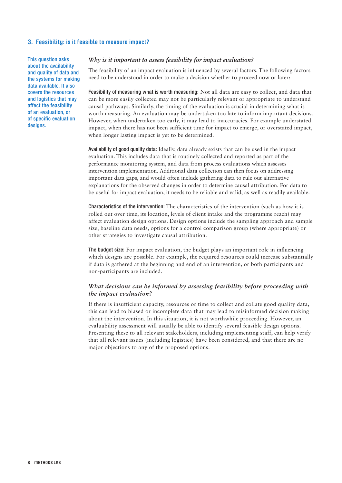#### **3. Feasibility: is it feasible to measure impact?**

This question asks about the availability and quality of data and the systems for making data available. It also covers the resources and logistics that may affect the feasibility of an evaluation, or of specific evaluation designs.

#### *Why is it important to assess feasibility for impact evaluation?*

The feasibility of an impact evaluation is influenced by several factors. The following factors need to be understood in order to make a decision whether to proceed now or later:

Feasibility of measuring what is worth measuring: Not all data are easy to collect, and data that can be more easily collected may not be particularly relevant or appropriate to understand causal pathways. Similarly, the timing of the evaluation is crucial in determining what is worth measuring. An evaluation may be undertaken too late to inform important decisions. However, when undertaken too early, it may lead to inaccuracies. For example understated impact, when there has not been sufficient time for impact to emerge, or overstated impact, when longer lasting impact is yet to be determined.

Availability of good quality data: Ideally, data already exists that can be used in the impact evaluation. This includes data that is routinely collected and reported as part of the performance monitoring system, and data from process evaluations which assesses intervention implementation. Additional data collection can then focus on addressing important data gaps, and would often include gathering data to rule out alternative explanations for the observed changes in order to determine causal attribution. For data to be useful for impact evaluation, it needs to be reliable and valid, as well as readily available.

Characteristics of the intervention: The characteristics of the intervention (such as how it is rolled out over time, its location, levels of client intake and the programme reach) may affect evaluation design options. Design options include the sampling approach and sample size, baseline data needs, options for a control comparison group (where appropriate) or other strategies to investigate causal attribution.

The budget size: For impact evaluation, the budget plays an important role in influencing which designs are possible. For example, the required resources could increase substantially if data is gathered at the beginning and end of an intervention, or both participants and non-participants are included.

#### *What decisions can be informed by assessing feasibility before proceeding with the impact evaluation?*

If there is insufficient capacity, resources or time to collect and collate good quality data, this can lead to biased or incomplete data that may lead to misinformed decision making about the intervention. In this situation, it is not worthwhile proceeding. However, an evaluability assessment will usually be able to identify several feasible design options. Presenting these to all relevant stakeholders, including implementing staff, can help verify that all relevant issues (including logistics) have been considered, and that there are no major objections to any of the proposed options.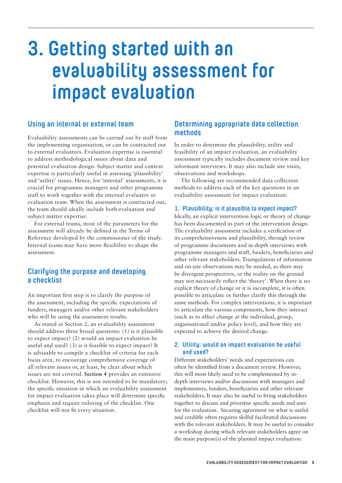# <span id="page-10-0"></span>**3. Getting started with an evaluability assessment for impact evaluation**

### **Using an internal or external team**

Evaluability assessments can be carried out by staff from the implementing organisation, or can be contracted out to external evaluators. Evaluation expertise is essential to address methodological issues about data and potential evaluation design. Subject matter and context expertise is particularly useful in assessing 'plausibility' and 'utility' issues. Hence, for 'internal' assessments, it is crucial for programme managers and other programme staff to work together with the internal evaluator or evaluation team. When the assessment is contracted out, the team should ideally include both evaluation and subject matter expertise.

For external teams, most of the parameters for the assessment will already be defined in the Terms of Reference developed by the commissioner of the study. Internal teams may have more flexibility to shape the assessment.

## **Clarifying the purpose and developing a checklist**

An important first step is to clarify the purpose of the assessment, including the specific expectations of funders, managers and/or other relevant stakeholders who will be using the assessment results.

As stated in Section 2, an evaluability assessment should address three broad questions: (1) is it plausible to expect impact? (2) would an impact evaluation be useful and used? (3) is it feasible to expect impact? It is advisable to compile a checklist of criteria for each focus area, to encourage comprehensive coverage of all relevant issues or, at least, be clear about which issues are not covered. **Section 4** provides an extensive checklist. However, this is not intended to be mandatory; the specific situation in which an evaluability assessment for impact evaluation takes place will determine specific emphasis and require tailoring of the checklist. One checklist will not fit every situation.

## **Determining appropriate data collection methods**

In order to determine the plausibility, utility and feasibility of an impact evaluation, an evaluability assessment typically includes document review and key informant interviews. It may also include site visits, observations and workshops.

The following are recommended data collection methods to address each of the key questions in an evaluability assessment for impact evaluation:

#### **1. Plausibility: is it plausible to expect impact?**

Ideally, an explicit intervention logic or theory of change has been documented as part of the intervention design. The evaluability assessment includes a verification of its comprehensiveness and plausibility, through review of programme documents and in-depth interviews with programme managers and staff, funders, beneficiaries and other relevant stakeholders. Triangulation of information and on-site observations may be needed, as there may be divergent perspectives, or the reality on the ground may not necessarily reflect the 'theory'. When there is no explicit theory of change or it is incomplete, it is often possible to articulate or further clarify this through the same methods. For complex interventions, it is important to articulate the various components, how they interact (such as to affect change at the individual, group, organisational and/or policy level), and how they are expected to achieve the desired change.

#### **2. Utility: would an impact evaluation be useful and used?**

Different stakeholders' needs and expectations can often be identified from a document review. However, this will most likely need to be complemented by indepth interviews and/or discussions with managers and implementers, funders, beneficiaries and other relevant stakeholders. It may also be useful to bring stakeholders together to discuss and prioritise specific needs and uses for the evaluation. Securing agreement on what is useful and credible often requires skilful facilitated discussions with the relevant stakeholders. It may be useful to consider a workshop during which relevant stakeholders agree on the main purpose(s) of the planned impact evaluation.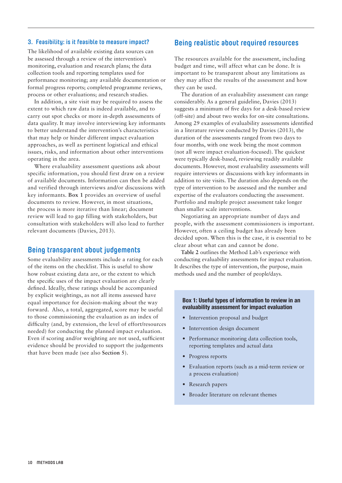#### <span id="page-11-0"></span>**3. Feasibility: is it feasible to measure impact?**

The likelihood of available existing data sources can be assessed through a review of the intervention's monitoring, evaluation and research plans; the data collection tools and reporting templates used for performance monitoring; any available documentation or formal progress reports; completed programme reviews, process or other evaluations; and research studies.

In addition, a site visit may be required to assess the extent to which raw data is indeed available, and to carry out spot checks or more in-depth assessments of data quality. It may involve interviewing key informants to better understand the intervention's characteristics that may help or hinder different impact evaluation approaches, as well as pertinent logistical and ethical issues, risks, and information about other interventions operating in the area.

Where evaluability assessment questions ask about specific information, you should first draw on a review of available documents. Information can then be added and verified through interviews and/or discussions with key informants. **Box 1** provides an overview of useful documents to review. However, in most situations, the process is more iterative than linear; document review will lead to gap filling with stakeholders, but consultation with stakeholders will also lead to further relevant documents (Davies, 2013).

#### **Being transparent about judgements**

Some evaluability assessments include a rating for each of the items on the checklist. This is useful to show how robust existing data are, or the extent to which the specific uses of the impact evaluation are clearly defined. Ideally, these ratings should be accompanied by explicit weightings, as not all items assessed have equal importance for decision-making about the way forward. Also, a total, aggregated, score may be useful to those commissioning the evaluation as an index of difficulty (and, by extension, the level of effort/resources needed) for conducting the planned impact evaluation. Even if scoring and/or weighting are not used, sufficient evidence should be provided to support the judgements that have been made (see also **Section 5**).

#### **Being realistic about required resources**

The resources available for the assessment, including budget and time, will affect what can be done. It is important to be transparent about any limitations as they may affect the results of the assessment and how they can be used.

The duration of an evaluability assessment can range considerably. As a general guideline, Davies (2013) suggests a minimum of five days for a desk-based review (off-site) and about two weeks for on-site consultations. Among 29 examples of evaluability assessments identified in a literature review conducted by Davies (2013), the duration of the assessments ranged from two days to four months, with one week being the most common (not all were impact evaluation-focused). The quickest were typically desk-based, reviewing readily available documents. However, most evaluability assessments will require interviews or discussions with key informants in addition to site visits. The duration also depends on the type of intervention to be assessed and the number and expertise of the evaluators conducting the assessment. Portfolio and multiple project assessment take longer than smaller scale interventions.

Negotiating an appropriate number of days and people, with the assessment commissioners is important. However, often a ceiling budget has already been decided upon. When this is the case, it is essential to be clear about what can and cannot be done.

**Table 2** outlines the Method Lab's experience with conducting evaluability assessments for impact evaluation. It describes the type of intervention, the purpose, main methods used and the number of people/days.

#### Box 1: Useful types of information to review in an evaluability assessment for impact evaluation

- **•** Intervention proposal and budget
- **•** Intervention design document
- **•** Performance monitoring data collection tools, reporting templates and actual data
- **•** Progress reports
- **•** Evaluation reports (such as a mid-term review or a process evaluation)
- **•** Research papers
- **•** Broader literature on relevant themes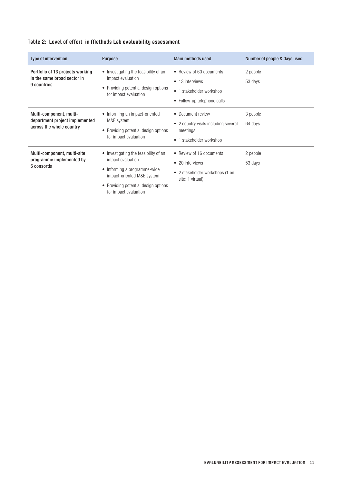<span id="page-12-0"></span>

|  |  |  | Table 2: Level of effort in Methods Lab evaluability assessment |  |
|--|--|--|-----------------------------------------------------------------|--|
|--|--|--|-----------------------------------------------------------------|--|

| <b>Type of intervention</b>                                                           | <b>Purpose</b>                                                                                                                                                                            | <b>Main methods used</b>                                                                               | Number of people & days used |
|---------------------------------------------------------------------------------------|-------------------------------------------------------------------------------------------------------------------------------------------------------------------------------------------|--------------------------------------------------------------------------------------------------------|------------------------------|
| Portfolio of 13 projects working<br>in the same broad sector in<br>9 countries        | • Investigating the feasibility of an<br>impact evaluation<br>• Providing potential design options<br>for impact evaluation                                                               | • Review of 60 documents<br>• 13 interviews<br>• 1 stakeholder workshop<br>• Follow-up telephone calls | 2 people<br>53 days          |
| Multi-component, multi-<br>department project implemented<br>across the whole country | • Informing an impact-oriented<br>M&E system<br>• Providing potential design options<br>for impact evaluation                                                                             | • Document review<br>• 2 country visits including several<br>meetings<br>1 stakeholder workshop        | 3 people<br>64 days          |
| Multi-component, multi-site<br>programme implemented by<br>5 consortia                | • Investigating the feasibility of an<br>impact evaluation<br>• Informing a programme-wide<br>impact-oriented M&E system<br>• Providing potential design options<br>for impact evaluation | • Review of 16 documents<br>• 20 interviews<br>• 2 stakeholder workshops (1 on<br>site; 1 virtual)     | 2 people<br>53 days          |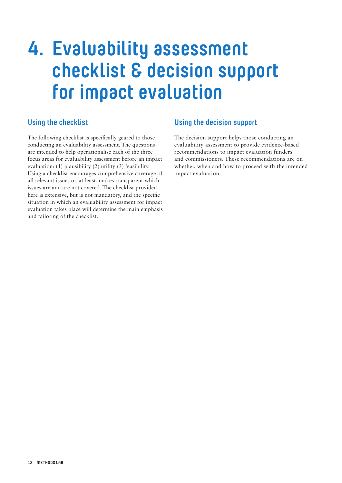# <span id="page-13-0"></span>**4. Evaluability assessment checklist & decision support for impact evaluation**

# **Using the checklist**

The following checklist is specifically geared to those conducting an evaluability assessment. The questions are intended to help operationalise each of the three focus areas for evaluability assessment before an impact evaluation: (1) plausibility (2) utility (3) feasibility. Using a checklist encourages comprehensive coverage of all relevant issues or, at least, makes transparent which issues are and are not covered. The checklist provided here is extensive, but is not mandatory, and the specific situation in which an evaluability assessment for impact evaluation takes place will determine the main emphasis and tailoring of the checklist.

# **Using the decision support**

The decision support helps those conducting an evaluability assessment to provide evidence-based recommendations to impact evaluation funders and commissioners. These recommendations are on whether, when and how to proceed with the intended impact evaluation.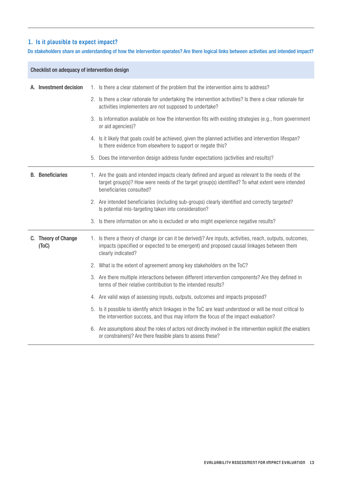## **1. Is it plausible to expect impact?**

Do stakeholders share an understanding of how the intervention operates? Are there logical links between activities and intended impact?

| Checklist on adequacy of intervention design |  |                                                                                                                                                                                                                                 |
|----------------------------------------------|--|---------------------------------------------------------------------------------------------------------------------------------------------------------------------------------------------------------------------------------|
| A. Investment decision                       |  | 1. Is there a clear statement of the problem that the intervention aims to address?                                                                                                                                             |
|                                              |  | 2. Is there a clear rationale for undertaking the intervention activities? Is there a clear rationale for<br>activities implementers are not supposed to undertake?                                                             |
|                                              |  | 3. Is information available on how the intervention fits with existing strategies (e.g., from government<br>or aid agencies)?                                                                                                   |
|                                              |  | 4. Is it likely that goals could be achieved, given the planned activities and intervention lifespan?<br>Is there evidence from elsewhere to support or negate this?                                                            |
|                                              |  | 5. Does the intervention design address funder expectations (activities and results)?                                                                                                                                           |
| <b>B.</b> Beneficiaries                      |  | 1. Are the goals and intended impacts clearly defined and argued as relevant to the needs of the<br>target group(s)? How were needs of the target group(s) identified? To what extent were intended<br>beneficiaries consulted? |
|                                              |  | 2. Are intended beneficiaries (including sub-groups) clearly identified and correctly targeted?<br>Is potential mis-targeting taken into consideration?                                                                         |
|                                              |  | 3. Is there information on who is excluded or who might experience negative results?                                                                                                                                            |
| C. Theory of Change<br>(ToC)                 |  | 1. Is there a theory of change (or can it be derived)? Are inputs, activities, reach, outputs, outcomes,<br>impacts (specified or expected to be emergent) and proposed causal linkages between them<br>clearly indicated?      |
|                                              |  | 2. What is the extent of agreement among key stakeholders on the ToC?                                                                                                                                                           |
|                                              |  | 3. Are there multiple interactions between different intervention components? Are they defined in<br>terms of their relative contribution to the intended results?                                                              |
|                                              |  | 4. Are valid ways of assessing inputs, outputs, outcomes and impacts proposed?                                                                                                                                                  |
|                                              |  | 5. Is it possible to identify which linkages in the ToC are least understood or will be most critical to<br>the intervention success, and thus may inform the focus of the impact evaluation?                                   |
|                                              |  | 6. Are assumptions about the roles of actors not directly involved in the intervention explicit (the enablers<br>or constrainers)? Are there feasible plans to assess these?                                                    |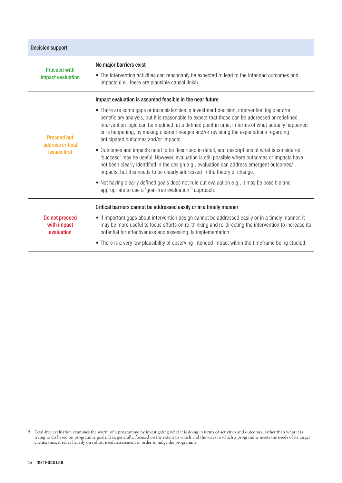| <b>Decision support</b>                                |                                                                                                                                                                                                                                                                                                                                                                                                                                                                                                                                                                                                                                                                                                                                                                                                                                                                                                                                                                                                                                                     |  |  |  |
|--------------------------------------------------------|-----------------------------------------------------------------------------------------------------------------------------------------------------------------------------------------------------------------------------------------------------------------------------------------------------------------------------------------------------------------------------------------------------------------------------------------------------------------------------------------------------------------------------------------------------------------------------------------------------------------------------------------------------------------------------------------------------------------------------------------------------------------------------------------------------------------------------------------------------------------------------------------------------------------------------------------------------------------------------------------------------------------------------------------------------|--|--|--|
| <b>Proceed with</b><br>impact evaluation               | No major barriers exist<br>• The intervention activities can reasonably be expected to lead to the intended outcomes and<br>impacts (i.e., there are plausible causal links).                                                                                                                                                                                                                                                                                                                                                                                                                                                                                                                                                                                                                                                                                                                                                                                                                                                                       |  |  |  |
| <b>Proceed but</b><br>address critical<br>issues first | Impact evaluation is assumed feasible in the near future<br>• There are some gaps or inconsistencies in investment decision, intervention logic and/or<br>beneficiary analysis, but it is reasonable to expect that those can be addressed or redefined.<br>Intervention logic can be modified, at a defined point in time, in terms of what actually happened<br>or is happening, by making clearer linkages and/or revisiting the expectations regarding<br>anticipated outcomes and/or impacts.<br>• Outcomes and impacts need to be described in detail, and descriptions of what is considered<br>'success' may be useful. However, evaluation is still possible where outcomes or impacts have<br>not been clearly identified in the design e.g., evaluation can address emergent outcomes/<br>impacts, but this needs to be clearly addressed in the theory of change.<br>. Not having clearly defined goals does not rule out evaluation e.g., it may be possible and<br>appropriate to use a 'goal-free evaluation' <sup>9</sup> approach. |  |  |  |
| Do not proceed<br>with impact<br>evaluation            | Critical barriers cannot be addressed easily or in a timely manner<br>• If important gaps about intervention design cannot be addressed easily or in a timely manner, it<br>may be more useful to focus efforts on re-thinking and re-directing the intervention to increase its<br>potential for effectiveness and assessing its implementation.<br>• There is a very low plausibility of observing intended impact within the timeframe being studied.                                                                                                                                                                                                                                                                                                                                                                                                                                                                                                                                                                                            |  |  |  |

<sup>9</sup> Goal-free evaluation examines the worth of a programme by investigating what it is doing in terms of activities and outcomes, rather than what it is trying to do based on programme goals. It is, generally, focused on the extent to which and the ways in which a programme meets the needs of its target clients; thus, it relies heavily on robust needs assessment in order to judge the programme.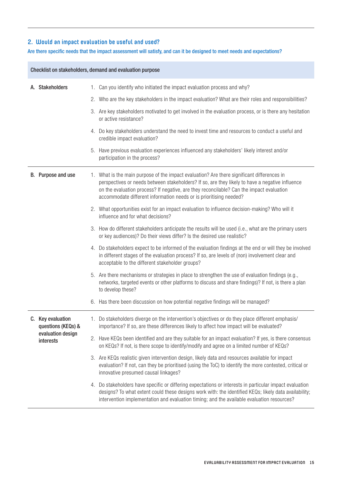### **2. Would an impact evaluation be useful and used?**

### Are there specific needs that the impact assessment will satisfy, and can it be designed to meet needs and expectations?

|  | Checklist on stakeholders, demand and evaluation purpose                  |                                                                                                                                                                                                                                                                                                                                                                 |  |  |  |
|--|---------------------------------------------------------------------------|-----------------------------------------------------------------------------------------------------------------------------------------------------------------------------------------------------------------------------------------------------------------------------------------------------------------------------------------------------------------|--|--|--|
|  | A. Stakeholders                                                           | 1. Can you identify who initiated the impact evaluation process and why?                                                                                                                                                                                                                                                                                        |  |  |  |
|  |                                                                           | 2. Who are the key stakeholders in the impact evaluation? What are their roles and responsibilities?                                                                                                                                                                                                                                                            |  |  |  |
|  |                                                                           | 3. Are key stakeholders motivated to get involved in the evaluation process, or is there any hesitation<br>or active resistance?                                                                                                                                                                                                                                |  |  |  |
|  |                                                                           | 4. Do key stakeholders understand the need to invest time and resources to conduct a useful and<br>credible impact evaluation?                                                                                                                                                                                                                                  |  |  |  |
|  |                                                                           | 5. Have previous evaluation experiences influenced any stakeholders' likely interest and/or<br>participation in the process?                                                                                                                                                                                                                                    |  |  |  |
|  | B. Purpose and use                                                        | 1. What is the main purpose of the impact evaluation? Are there significant differences in<br>perspectives or needs between stakeholders? If so, are they likely to have a negative influence<br>on the evaluation process? If negative, are they reconcilable? Can the impact evaluation<br>accommodate different information needs or is prioritising needed? |  |  |  |
|  |                                                                           | 2. What opportunities exist for an impact evaluation to influence decision-making? Who will it<br>influence and for what decisions?                                                                                                                                                                                                                             |  |  |  |
|  |                                                                           | 3. How do different stakeholders anticipate the results will be used (i.e., what are the primary users<br>or key audiences)? Do their views differ? Is the desired use realistic?                                                                                                                                                                               |  |  |  |
|  |                                                                           | 4. Do stakeholders expect to be informed of the evaluation findings at the end or will they be involved<br>in different stages of the evaluation process? If so, are levels of (non) involvement clear and<br>acceptable to the different stakeholder groups?                                                                                                   |  |  |  |
|  |                                                                           | 5. Are there mechanisms or strategies in place to strengthen the use of evaluation findings (e.g.,<br>networks, targeted events or other platforms to discuss and share findings)? If not, is there a plan<br>to develop these?                                                                                                                                 |  |  |  |
|  |                                                                           | 6. Has there been discussion on how potential negative findings will be managed?                                                                                                                                                                                                                                                                                |  |  |  |
|  | C. Key evaluation<br>questions (KEQs) &<br>evaluation design<br>interests | Do stakeholders diverge on the intervention's objectives or do they place different emphasis/<br>importance? If so, are these differences likely to affect how impact will be evaluated?                                                                                                                                                                        |  |  |  |
|  |                                                                           | 2. Have KEQs been identified and are they suitable for an impact evaluation? If yes, is there consensus<br>on KEQs? If not, is there scope to identify/modify and agree on a limited number of KEQs?                                                                                                                                                            |  |  |  |
|  |                                                                           | 3. Are KEQs realistic given intervention design, likely data and resources available for impact<br>evaluation? If not, can they be prioritised (using the ToC) to identify the more contested, critical or<br>innovative presumed causal linkages?                                                                                                              |  |  |  |
|  |                                                                           | 4. Do stakeholders have specific or differing expectations or interests in particular impact evaluation<br>designs? To what extent could these designs work with: the identified KEQs; likely data availability;<br>intervention implementation and evaluation timing; and the available evaluation resources?                                                  |  |  |  |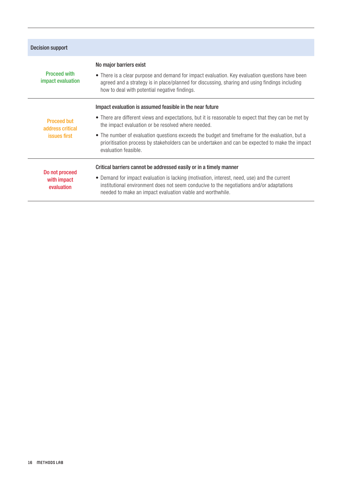| <b>Decision support</b>                                       |                                                                                                                                                                                                                                                                                                                                                                                                                                                      |
|---------------------------------------------------------------|------------------------------------------------------------------------------------------------------------------------------------------------------------------------------------------------------------------------------------------------------------------------------------------------------------------------------------------------------------------------------------------------------------------------------------------------------|
| <b>Proceed with</b><br>impact evaluation                      | No major barriers exist<br>• There is a clear purpose and demand for impact evaluation. Key evaluation questions have been<br>agreed and a strategy is in place/planned for discussing, sharing and using findings including<br>how to deal with potential negative findings.                                                                                                                                                                        |
| <b>Proceed but</b><br>address critical<br><i>issues first</i> | Impact evaluation is assumed feasible in the near future<br>• There are different views and expectations, but it is reasonable to expect that they can be met by<br>the impact evaluation or be resolved where needed.<br>• The number of evaluation questions exceeds the budget and timeframe for the evaluation, but a<br>prioritisation process by stakeholders can be undertaken and can be expected to make the impact<br>evaluation feasible. |
| Do not proceed<br>with impact<br>evaluation                   | Critical barriers cannot be addressed easily or in a timely manner<br>• Demand for impact evaluation is lacking (motivation, interest, need, use) and the current<br>institutional environment does not seem conducive to the negotiations and/or adaptations<br>needed to make an impact evaluation viable and worthwhile.                                                                                                                          |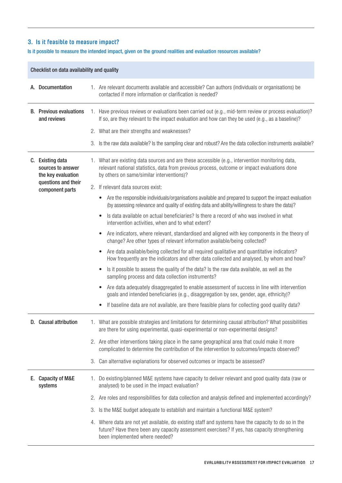## **3. Is it feasible to measure impact?**

### Is it possible to measure the intended impact, given on the ground realities and evaluation resources available?

| Checklist on data availability and quality |                                                             |                                                                                                                                                                                                                                              |  |  |
|--------------------------------------------|-------------------------------------------------------------|----------------------------------------------------------------------------------------------------------------------------------------------------------------------------------------------------------------------------------------------|--|--|
|                                            | A. Documentation                                            | 1. Are relevant documents available and accessible? Can authors (individuals or organisations) be<br>contacted if more information or clarification is needed?                                                                               |  |  |
|                                            | <b>B.</b> Previous evaluations<br>and reviews               | 1. Have previous reviews or evaluations been carried out (e.g., mid-term review or process evaluation)?<br>If so, are they relevant to the impact evaluation and how can they be used (e.g., as a baseline)?                                 |  |  |
|                                            |                                                             | 2. What are their strengths and weaknesses?                                                                                                                                                                                                  |  |  |
|                                            |                                                             | 3. Is the raw data available? Is the sampling clear and robust? Are the data collection instruments available?                                                                                                                               |  |  |
|                                            | C. Existing data<br>sources to answer<br>the key evaluation | 1. What are existing data sources and are these accessible (e.g., intervention monitoring data,<br>relevant national statistics, data from previous process, outcome or impact evaluations done<br>by others on same/similar interventions)? |  |  |
|                                            | questions and their<br>component parts                      | 2. If relevant data sources exist:                                                                                                                                                                                                           |  |  |
|                                            |                                                             | Are the responsible individuals/organisations available and prepared to support the impact evaluation<br>$\bullet$<br>(by assessing relevance and quality of existing data and ability/willingness to share the data)?                       |  |  |
|                                            |                                                             | Is data available on actual beneficiaries? Is there a record of who was involved in what<br>intervention activities, when and to what extent?                                                                                                |  |  |
|                                            |                                                             | Are indicators, where relevant, standardised and aligned with key components in the theory of<br>$\bullet$<br>change? Are other types of relevant information available/being collected?                                                     |  |  |
|                                            |                                                             | Are data available/being collected for all required qualitative and quantitative indicators?<br>$\bullet$<br>How frequently are the indicators and other data collected and analysed, by whom and how?                                       |  |  |
|                                            |                                                             | Is it possible to assess the quality of the data? Is the raw data available, as well as the<br>sampling process and data collection instruments?                                                                                             |  |  |
|                                            |                                                             | Are data adequately disaggregated to enable assessment of success in line with intervention<br>goals and intended beneficiaries (e.g., disaggregation by sex, gender, age, ethnicity)?                                                       |  |  |
|                                            |                                                             | If baseline data are not available, are there feasible plans for collecting good quality data?<br>$\bullet$                                                                                                                                  |  |  |
|                                            | <b>Causal attribution</b>                                   | 1. What are possible strategies and limitations for determining causal attribution? What possibilities<br>are there for using experimental, quasi-experimental or non-experimental designs?                                                  |  |  |
|                                            |                                                             | 2. Are other interventions taking place in the same geographical area that could make it more<br>complicated to determine the contribution of the intervention to outcomes/impacts observed?                                                 |  |  |
|                                            |                                                             | 3. Can alternative explanations for observed outcomes or impacts be assessed?                                                                                                                                                                |  |  |
| Е.                                         | <b>Capacity of M&amp;E</b><br>systems                       | 1. Do existing/planned M&E systems have capacity to deliver relevant and good quality data (raw or<br>analysed) to be used in the impact evaluation?                                                                                         |  |  |
|                                            |                                                             | 2. Are roles and responsibilities for data collection and analysis defined and implemented accordingly?                                                                                                                                      |  |  |
|                                            |                                                             | 3. Is the M&E budget adequate to establish and maintain a functional M&E system?                                                                                                                                                             |  |  |
|                                            |                                                             | 4. Where data are not yet available, do existing staff and systems have the capacity to do so in the<br>future? Have there been any capacity assessment exercises? If yes, has capacity strengthening<br>been implemented where needed?      |  |  |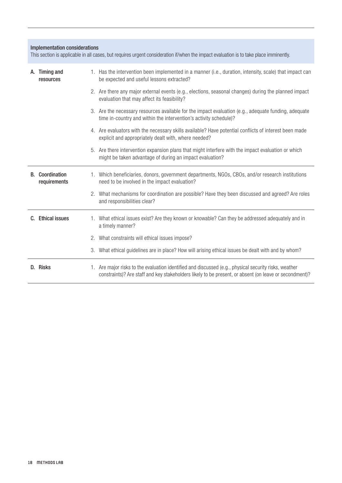#### Implementation considerations

This section is applicable in all cases, but requires urgent consideration if/when the impact evaluation is to take place imminently.

| А. | <b>Timing and</b><br>resources |             | 1. Has the intervention been implemented in a manner (i.e., duration, intensity, scale) that impact can<br>be expected and useful lessons extracted?                                                            |
|----|--------------------------------|-------------|-----------------------------------------------------------------------------------------------------------------------------------------------------------------------------------------------------------------|
|    |                                |             | 2. Are there any major external events (e.g., elections, seasonal changes) during the planned impact<br>evaluation that may affect its feasibility?                                                             |
|    |                                |             | 3. Are the necessary resources available for the impact evaluation (e.g., adequate funding, adequate<br>time in-country and within the intervention's activity schedule)?                                       |
|    |                                |             | 4. Are evaluators with the necessary skills available? Have potential conflicts of interest been made<br>explicit and appropriately dealt with, where needed?                                                   |
|    |                                |             | 5. Are there intervention expansion plans that might interfere with the impact evaluation or which<br>might be taken advantage of during an impact evaluation?                                                  |
| B. | Coordination<br>requirements   |             | 1. Which beneficiaries, donors, government departments, NGOs, CBOs, and/or research institutions<br>need to be involved in the impact evaluation?                                                               |
|    |                                |             | 2. What mechanisms for coordination are possible? Have they been discussed and agreed? Are roles<br>and responsibilities clear?                                                                                 |
| C. | <b>Ethical issues</b>          | $1_{\cdot}$ | What ethical issues exist? Are they known or knowable? Can they be addressed adequately and in<br>a timely manner?                                                                                              |
|    |                                | 2.          | What constraints will ethical issues impose?                                                                                                                                                                    |
|    |                                | 3.          | What ethical guidelines are in place? How will arising ethical issues be dealt with and by whom?                                                                                                                |
|    | D. Risks                       |             | 1. Are major risks to the evaluation identified and discussed (e.g., physical security risks, weather<br>constraints)? Are staff and key stakeholders likely to be present, or absent (on leave or secondment)? |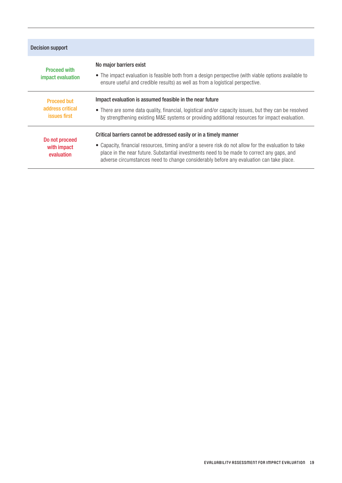| Decision support                                       |                                                                                                                                                                                                                                                                                                                                                                     |  |  |  |
|--------------------------------------------------------|---------------------------------------------------------------------------------------------------------------------------------------------------------------------------------------------------------------------------------------------------------------------------------------------------------------------------------------------------------------------|--|--|--|
| <b>Proceed with</b><br>impact evaluation               | No major barriers exist<br>• The impact evaluation is feasible both from a design perspective (with viable options available to<br>ensure useful and credible results) as well as from a logistical perspective.                                                                                                                                                    |  |  |  |
| <b>Proceed but</b><br>address critical<br>issues first | Impact evaluation is assumed feasible in the near future<br>• There are some data quality, financial, logistical and/or capacity issues, but they can be resolved<br>by strengthening existing M&E systems or providing additional resources for impact evaluation.                                                                                                 |  |  |  |
| Do not proceed<br>with impact<br>evaluation            | Critical barriers cannot be addressed easily or in a timely manner<br>• Capacity, financial resources, timing and/or a severe risk do not allow for the evaluation to take<br>place in the near future. Substantial investments need to be made to correct any gaps, and<br>adverse circumstances need to change considerably before any evaluation can take place. |  |  |  |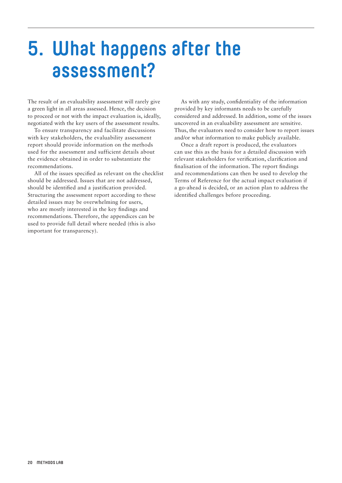# <span id="page-21-0"></span>**5. What happens after the assessment?**

The result of an evaluability assessment will rarely give a green light in all areas assessed. Hence, the decision to proceed or not with the impact evaluation is, ideally, negotiated with the key users of the assessment results.

To ensure transparency and facilitate discussions with key stakeholders, the evaluability assessment report should provide information on the methods used for the assessment and sufficient details about the evidence obtained in order to substantiate the recommendations.

All of the issues specified as relevant on the checklist should be addressed. Issues that are not addressed, should be identified and a justification provided. Structuring the assessment report according to these detailed issues may be overwhelming for users, who are mostly interested in the key findings and recommendations. Therefore, the appendices can be used to provide full detail where needed (this is also important for transparency).

As with any study, confidentiality of the information provided by key informants needs to be carefully considered and addressed. In addition, some of the issues uncovered in an evaluability assessment are sensitive. Thus, the evaluators need to consider how to report issues and/or what information to make publicly available.

Once a draft report is produced, the evaluators can use this as the basis for a detailed discussion with relevant stakeholders for verification, clarification and finalisation of the information. The report findings and recommendations can then be used to develop the Terms of Reference for the actual impact evaluation if a go-ahead is decided, or an action plan to address the identified challenges before proceeding.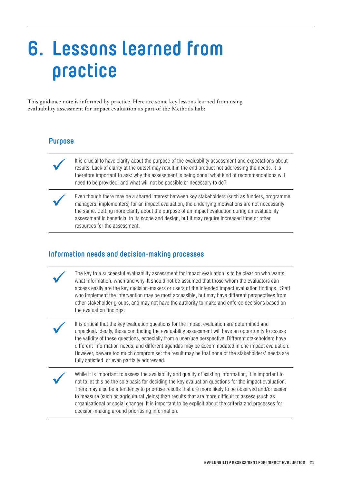# <span id="page-22-0"></span>**6. Lessons learned from practice**

This guidance note is informed by practice. Here are some key lessons learned from using evaluability assessment for impact evaluation as part of the Methods Lab:

# **Purpose**

It is crucial to have clarity about the purpose of the evaluability assessment and expectations about<br>results. Lack of clarity at the outset may result in the end product not addressing the needs. It is<br>therefore important results. Lack of clarity at the outset may result in the end product not addressing the needs. It is therefore important to ask: why the assessment is being done; what kind of recommendations will need to be provided; and what will not be possible or necessary to do?

Even though there may be a shared interest between key stakeholders (such as funders, programme<br>managers, implementers) for an impact evaluation, the underlying motivations are not necessarily<br>the same. Getting more clarit managers, implementers) for an impact evaluation, the underlying motivations are not necessarily the same. Getting more clarity about the purpose of an impact evaluation during an evaluability assessment is beneficial to its scope and design, but it may require increased time or other resources for the assessment.

### **Information needs and decision-making processes**

The key to a successful evaluability assessment for impact evaluation is to be clear on who wants<br>what information, when and why. It should not be assumed that those whom the evaluators can<br>access easily are the key decisi what information, when and why. It should not be assumed that those whom the evaluators can access easily are the key decision-makers or users of the intended impact evaluation findings. Staff who implement the intervention may be most accessible, but may have different perspectives from other stakeholder groups, and may not have the authority to make and enforce decisions based on the evaluation findings.

It is critical that the key evaluation questions for the impact evaluation are determined and unpacked. Ideally, those conducting the evaluability assessment will have an opportunity to assess the validity of these questions, especially from a user/use perspective. Different stakeholders have different information needs, and different agendas may be accommodated in one impact evaluation. However, beware too much compromise: the result may be that none of the stakeholders' needs are fully satisfied, or even partially addressed.

While it is important to assess the availability and quality of existing information, it is important to<br>not to let this be the sole basis for deciding the key evaluation questions for the impact evaluation<br>There may also not to let this be the sole basis for deciding the key evaluation questions for the impact evaluation. There may also be a tendency to prioritise results that are more likely to be observed and/or easier to measure (such as agricultural yields) than results that are more difficult to assess (such as organisational or social change). It is important to be explicit about the criteria and processes for decision-making around prioritising information.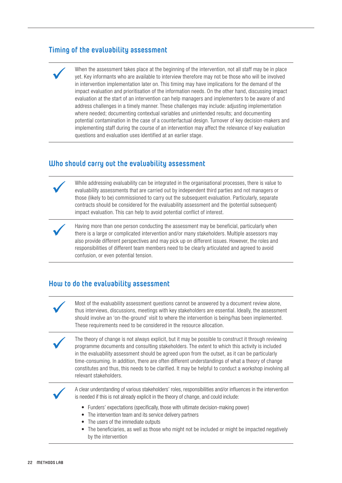# **Timing of the evaluability assessment**

When the assessment takes place at the beginning of the intervention, not all staff may be in place yet. Key informants who are available to interview therefore may not be those who will be involved in intervention implementation later on. This timing may have implications for the demand of the impact evaluation and prioritisation of the information needs. On the other hand, discussing impact evaluation at the start of an intervention can help managers and implementers to be aware of and address challenges in a timely manner. These challenges may include: adjusting implementation where needed; documenting contextual variables and unintended results; and documenting potential contamination in the case of a counterfactual design. Turnover of key decision-makers and implementing staff during the course of an intervention may affect the relevance of key evaluation questions and evaluation uses identified at an earlier stage.

# **Who should carry out the evaluability assessment**

While addressing evaluability can be integrated in the organisational processes, there is value to<br>evaluability assessments that are carried out by independent third parties and not managers or<br>those (likely to be) commiss evaluability assessments that are carried out by independent third parties and not managers or those (likely to be) commissioned to carry out the subsequent evaluation. Particularly, separate contracts should be considered for the evaluability assessment and the (potential subsequent) impact evaluation. This can help to avoid potential conflict of interest.

Having more than one person conducting the assessment may be beneficial, particularly when<br>there is a large or complicated intervention and/or many stakeholders. Multiple assessors may<br>also provide different perspectives a there is a large or complicated intervention and/or many stakeholders. Multiple assessors may also provide different perspectives and may pick up on different issues. However, the roles and responsibilities of different team members need to be clearly articulated and agreed to avoid confusion, or even potential tension.

### **How to do the evaluability assessment**

Most of the evaluability assessment questions cannot be answered by a document review alone,<br>thus interviews, discussions, meetings with key stakeholders are essential. Ideally, the assessme<br>should involve an 'on-the-groun thus interviews, discussions, meetings with key stakeholders are essential. Ideally, the assessment should involve an 'on-the-ground' visit to where the intervention is being/has been implemented. These requirements need to be considered in the resource allocation.

The theory of change is not always explicit, but it may be possible to construct it through reviewing programme documents and consulting stakeholders. The extent to which this activity is included in the evaluability assessment should be agreed upon from the outset, as it can be particularly time-consuming. In addition, there are often different understandings of what a theory of change constitutes and thus, this needs to be clarified. It may be helpful to conduct a workshop involving all relevant stakeholders.



ü A clear understanding of various stakeholders' roles, responsibilities and/or influences in the intervention is needed if this is not already explicit in the theory of change, and could include:

- Funders' expectations (specifically, those with ultimate decision-making power)
- The intervention team and its service delivery partners
- The users of the immediate outputs
- The beneficiaries, as well as those who might not be included or might be impacted negatively by the intervention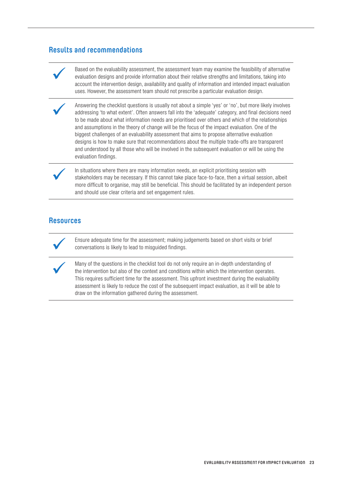# **Results and recommendations**

Based on the evaluability assessment, the assessment team may examine the feasibility of alternative<br>evaluation designs and provide information about their relative strengths and limitations, taking into<br>account the interv evaluation designs and provide information about their relative strengths and limitations, taking into account the intervention design, availability and quality of information and intended impact evaluation uses. However, the assessment team should not prescribe a particular evaluation design.

Answering the checklist questions is usually not about a simple 'yes' or 'no', but more likely involves addressing 'to what extent'. Often answers fall into the 'adequate' category, and final decisions need to be made abou addressing 'to what extent'. Often answers fall into the 'adequate' category, and final decisions need to be made about what information needs are prioritised over others and which of the relationships and assumptions in the theory of change will be the focus of the impact evaluation. One of the biggest challenges of an evaluability assessment that aims to propose alternative evaluation designs is how to make sure that recommendations about the multiple trade-offs are transparent and understood by all those who will be involved in the subsequent evaluation or will be using the evaluation findings.

In situations where there are many information needs, an explicit prioritising session with<br>stakeholders may be necessary. If this cannot take place face-to-face, then a virtual sessi<br>more difficult to organise, may still stakeholders may be necessary. If this cannot take place face-to-face, then a virtual session, albeit more difficult to organise, may still be beneficial. This should be facilitated by an independent person and should use clear criteria and set engagement rules.

## **Resources**

Ensure adequate time for the assessment; making judgements based on short visits or brief conversations is likely to lead to misguided findings.

Many of the questions in the checklist tool do not only require an in-depth understanding of<br>the intervention but also of the context and conditions within which the intervention operate:<br>This requires sufficient time for the intervention but also of the context and conditions within which the intervention operates. This requires sufficient time for the assessment. This upfront investment during the evaluability assessment is likely to reduce the cost of the subsequent impact evaluation, as it will be able to draw on the information gathered during the assessment.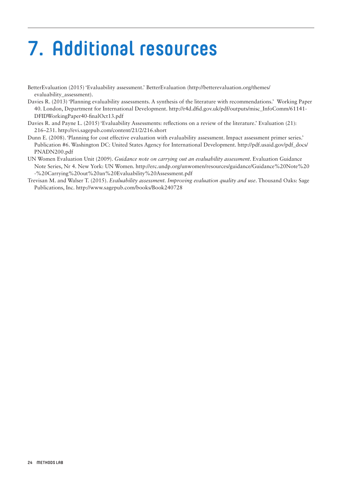# **7. Additional resources**

- BetterEvaluation (2015) 'Evaluability assessment.' BetterEvaluation [\(http://betterevaluation.org/themes/](http://betterevaluation.org/themes/evaluability_assessment) [evaluability\\_assessment](http://betterevaluation.org/themes/evaluability_assessment)).
- Davies R. (2013) 'Planning evaluability assessments. A synthesis of the literature with recommendations.' Working Paper 40. London, Department for International Development. [http://r4d.dfid.gov.uk/pdf/outputs/misc\\_InfoComm/61141-](http://r4d.dfid.gov.uk/pdf/outputs/misc_InfoComm/61141-DFIDWorkingPaper40-finalOct13.pdf) [DFIDWorkingPaper40-finalOct13.pdf](http://r4d.dfid.gov.uk/pdf/outputs/misc_InfoComm/61141-DFIDWorkingPaper40-finalOct13.pdf)
- Davies R. and Payne L. (2015) 'Evaluability Assessments: reflections on a review of the literature.' Evaluation (21): 216–231.<http://evi.sagepub.com/content/21/2/216.short>
- Dunn E. (2008). 'Planning for cost effective evaluation with evaluability assessment. Impact assessment primer series.' Publication #6. Washington DC: United States Agency for International Development. [http://pdf.usaid.gov/pdf\\_docs/](http://pdf.usaid.gov/pdf_docs/PNADN200.pdf) [PNADN200.pdf](http://pdf.usaid.gov/pdf_docs/PNADN200.pdf)
- UN Women Evaluation Unit (2009). *Guidance note on carrying out an evaluability assessment*. Evaluation Guidance Note Series, Nr 4. New York: UN Women. [http://erc.undp.org/unwomen/resources/guidance/Guidance%20Note%20](http://erc.undp.org/unwomen/resources/guidance/Guidance%20Note%20-%20Carrying%20out%20an%20Evaluability%20Assessment.pdf) [-%20Carrying%20out%20an%20Evaluability%20Assessment.pdf](http://erc.undp.org/unwomen/resources/guidance/Guidance%20Note%20-%20Carrying%20out%20an%20Evaluability%20Assessment.pdf)
- Trevisan M. and Walser T. (2015). *Evaluability assessment. Improving evaluation quality and use*. Thousand Oaks: Sage Publications, Inc.<http://www.sagepub.com/books/Book240728>